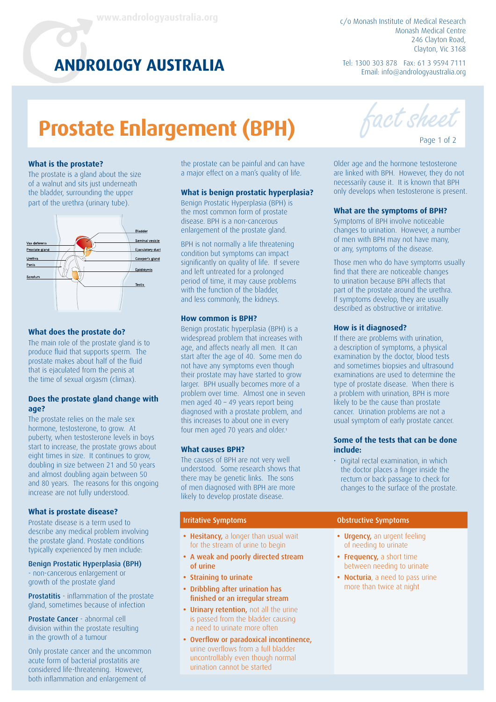## **ANDROLOGY AUSTRALIA**

c/o Monash Institute of Medical Research Monash Medical Centre 246 Clayton Road, Clayton, Vic 3168

Tel: 1300 303 878 Fax: 61 3 9594 7111 Email: info@andrologyaustralia.org

# **Prostate Enlargement (BPH)**

#### **What is the prostate?**

The prostate is a gland about the size of a walnut and sits just underneath the bladder, surrounding the upper part of the urethra (urinary tube).



#### **What does the prostate do?**

The main role of the prostate gland is to produce fluid that supports sperm. The prostate makes about half of the fluid that is ejaculated from the penis at the time of sexual orgasm (climax).

#### **Does the prostate gland change with age?**

The prostate relies on the male sex hormone, testosterone, to grow. At puberty, when testosterone levels in boys start to increase, the prostate grows about eight times in size. It continues to grow, doubling in size between 21 and 50 years and almost doubling again between 50 and 80 years. The reasons for this ongoing increase are not fully understood.

#### **What is prostate disease?**

Prostate disease is a term used to describe any medical problem involving the prostate gland. Prostate conditions typically experienced by men include:

#### Benign Prostatic Hyperplasia (BPH)

- non-cancerous enlargement or growth of the prostate gland

Prostatitis - inflammation of the prostate gland, sometimes because of infection

Prostate Cancer - abnormal cell division within the prostate resulting in the growth of a tumour

Only prostate cancer and the uncommon acute form of bacterial prostatitis are considered life-threatening. However, both inflammation and enlargement of

the prostate can be painful and can have a major effect on a man's quality of life.

#### **What is benign prostatic hyperplasia?**

Benign Prostatic Hyperplasia (BPH) is the most common form of prostate disease. BPH is a non-cancerous enlargement of the prostate gland.

BPH is not normally a life threatening condition but symptoms can impact significantly on quality of life. If severe and left untreated for a prolonged period of time, it may cause problems with the function of the bladder, and less commonly, the kidneys.

#### **How common is BPH?**

Benign prostatic hyperplasia (BPH) is a widespread problem that increases with age, and affects nearly all men. It can start after the age of 40. Some men do not have any symptoms even though their prostate may have started to grow larger. BPH usually becomes more of a problem over time. Almost one in seven men aged 40 – 49 years report being diagnosed with a prostate problem, and this increases to about one in every four men aged 70 years and older.<sup>1</sup>

#### **What causes BPH?**

The causes of BPH are not very well understood. Some research shows that there may be genetic links. The sons of men diagnosed with BPH are more likely to develop prostate disease.

- **•** Hesitancy, a longer than usual wait for the stream of urine to begin
- **•** A weak and poorly directed stream of urine
- **•** Straining to urinate
- **•** Dribbling after urination has finished or an irregular stream
- **•** Urinary retention, not all the urine is passed from the bladder causing a need to urinate more often
- **•** Overflow or paradoxical incontinence, urine overflows from a full bladder uncontrollably even though normal urination cannot be started



Page 1 of 2

Older age and the hormone testosterone are linked with BPH. However, they do not necessarily cause it. It is known that BPH only develops when testosterone is present.

#### **What are the symptoms of BPH?**

Symptoms of BPH involve noticeable changes to urination. However, a number of men with BPH may not have many, or any, symptoms of the disease.

Those men who do have symptoms usually find that there are noticeable changes to urination because BPH affects that part of the prostate around the urethra. If symptoms develop, they are usually described as obstructive or irritative.

#### **How is it diagnosed?**

If there are problems with urination, a description of symptoms, a physical examination by the doctor, blood tests and sometimes biopsies and ultrasound examinations are used to determine the type of prostate disease. When there is a problem with urination, BPH is more likely to be the cause than prostate cancer. Urination problems are not a usual symptom of early prostate cancer.

#### **Some of the tests that can be done include:**

• Digital rectal examination, in which the doctor places a finger inside the rectum or back passage to check for changes to the surface of the prostate.

#### **Irritative Symptoms Contract Contract Contract Contract Contract Contract Contract Contract Contract Contract Contract Contract Contract Contract Contract Contract Contract Contract Contract Contract Contract Contract C**

- **•** Urgency, an urgent feeling of needing to urinate
- **•** Frequency, a short time between needing to urinate
- **•** Nocturia, a need to pass urine more than twice at night